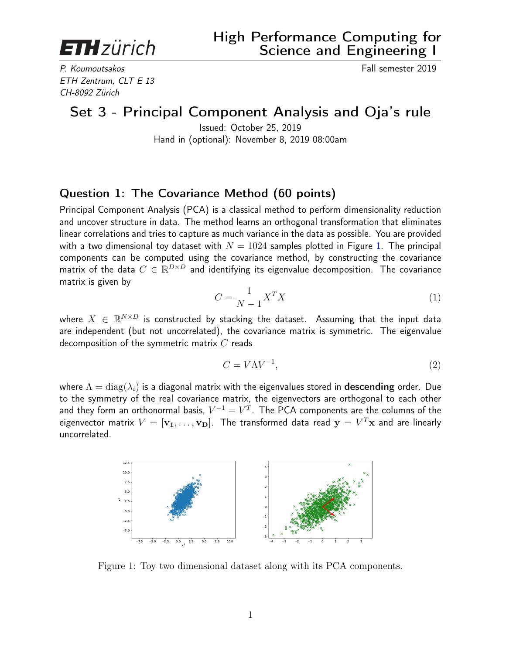**ETH** zürich

P. Koumoutsakos Fall semester 2019 ETH Zentrum, CLT E 13 CH-8092 Zürich

## Set 3 - Principal Component Analysis and Oja's rule

Issued: October 25, 2019 Hand in (optional): November 8, 2019 08:00am

## Question 1: The Covariance Method (60 points)

Principal Component Analysis (PCA) is a classical method to perform dimensionality reduction and uncover structure in data. The method learns an orthogonal transformation that eliminates linear correlations and tries to capture as much variance in the data as possible. You are provided with a two dimensional toy dataset with  $N = 1024$  samples plotted in Figure [1.](#page-0-0) The principal components can be computed using the covariance method, by constructing the covariance matrix of the data  $C \in \mathbb{R}^{D \times D}$  and identifying its eigenvalue decomposition. The covariance matrix is given by

$$
C = \frac{1}{N-1} X^T X \tag{1}
$$

where  $X~\in~\mathbb{R}^{N \times D}$  is constructed by stacking the dataset. Assuming that the input data are independent (but not uncorrelated), the covariance matrix is symmetric. The eigenvalue decomposition of the symmetric matrix  $C$  reads

$$
C = V\Lambda V^{-1},\tag{2}
$$

where  $\Lambda = \text{diag}(\lambda_i)$  is a diagonal matrix with the eigenvalues stored in **descending** order. Due to the symmetry of the real covariance matrix, the eigenvectors are orthogonal to each other and they form an orthonormal basis,  $V^{-1} = V^T$ . The PCA components are the columns of the eigenvector matrix  $V = [\mathbf{v_1}, \dots, \mathbf{v_D}].$  The transformed data read  $\mathbf{y} = V^T\mathbf{x}$  and are linearly uncorrelated.



<span id="page-0-0"></span>Figure 1: Toy two dimensional dataset along with its PCA components.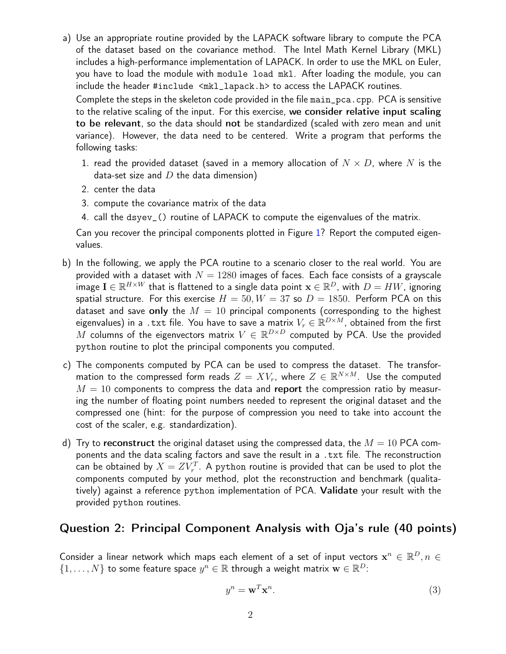a) Use an appropriate routine provided by the LAPACK software library to compute the PCA of the dataset based on the covariance method. The Intel Math Kernel Library (MKL) includes a high-performance implementation of LAPACK. In order to use the MKL on Euler, you have to load the module with module load mkl. After loading the module, you can include the header #include <mkl\_lapack.h> to access the LAPACK routines.

Complete the steps in the skeleton code provided in the file main\_pca.cpp. PCA is sensitive to the relative scaling of the input. For this exercise, we consider relative input scaling to be relevant, so the data should not be standardized (scaled with zero mean and unit variance). However, the data need to be centered. Write a program that performs the following tasks:

- 1. read the provided dataset (saved in a memory allocation of  $N \times D$ , where N is the data-set size and  $D$  the data dimension)
- 2. center the data
- 3. compute the covariance matrix of the data
- 4. call the dsyev\_() routine of LAPACK to compute the eigenvalues of the matrix.

Can you recover the principal components plotted in Figure [1?](#page-0-0) Report the computed eigenvalues.

- b) In the following, we apply the PCA routine to a scenario closer to the real world. You are provided with a dataset with  $N = 1280$  images of faces. Each face consists of a grayscale image  $\mathbf{I}\in\mathbb{R}^{H\times W}$  that is flattened to a single data point  $\mathbf{x}\in\mathbb{R}^D$ , with  $D=HW$ , ignoring spatial structure. For this exercise  $H = 50, W = 37$  so  $D = 1850$ . Perform PCA on this dataset and save only the  $M = 10$  principal components (corresponding to the highest eigenvalues) in a .txt file. You have to save a matrix  $V_r \in \mathbb{R}^{D \times M}$ , obtained from the first  $\overline{M}$  columns of the eigenvectors matrix  $V\in\mathbb{R}^{D\times D}$  computed by PCA. Use the provided python routine to plot the principal components you computed.
- c) The components computed by PCA can be used to compress the dataset. The transformation to the compressed form reads  $Z = XV_r$ , where  $Z \in \mathbb{R}^{N \times M}$ . Use the computed  $M = 10$  components to compress the data and report the compression ratio by measuring the number of floating point numbers needed to represent the original dataset and the compressed one (hint: for the purpose of compression you need to take into account the cost of the scaler, e.g. standardization).
- d) Try to reconstruct the original dataset using the compressed data, the  $M = 10$  PCA components and the data scaling factors and save the result in a .txt file. The reconstruction can be obtained by  $X=ZV_{r}^{T}.$  A python routine is provided that can be used to plot the components computed by your method, plot the reconstruction and benchmark (qualitatively) against a reference python implementation of PCA. Validate your result with the provided python routines.

## Question 2: Principal Component Analysis with Oja's rule (40 points)

Consider a linear network which maps each element of a set of input vectors  $\mathbf{x}^n \in \mathbb{R}^D, n \in \mathbb{R}^D$  $\{1,\ldots,N\}$  to some feature space  $y^n \in \mathbb{R}$  through a weight matrix  $\mathbf{w} \in \mathbb{R}^D$ :

$$
y^n = \mathbf{w}^T \mathbf{x}^n. \tag{3}
$$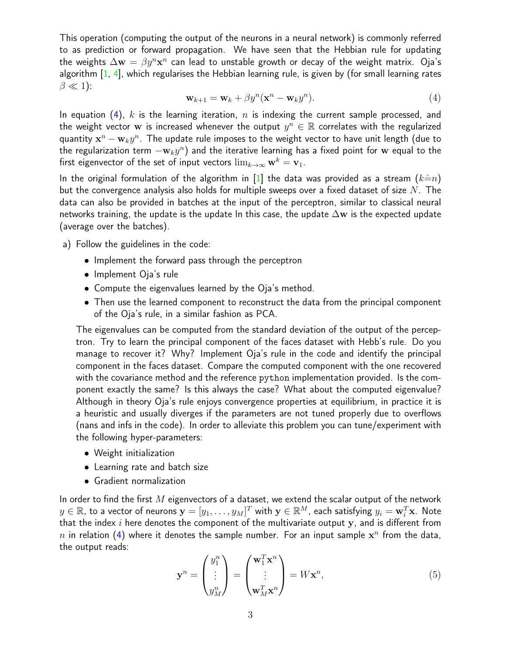This operation (computing the output of the neurons in a neural network) is commonly referred to as prediction or forward propagation. We have seen that the Hebbian rule for updating the weights  $\Delta {\bf w} = \beta y^n {\bf x}^n$  can lead to unstable growth or decay of the weight matrix.  $\rm O$ ja's algorithm [\[1,](#page-3-0) [4\]](#page-3-1), which regularises the Hebbian learning rule, is given by (for small learning rates  $\beta \ll 1$ ):

<span id="page-2-0"></span>
$$
\mathbf{w}_{k+1} = \mathbf{w}_k + \beta y^n (\mathbf{x}^n - \mathbf{w}_k y^n). \tag{4}
$$

In equation [\(4\)](#page-2-0), k is the learning iteration, n is indexing the current sample processed, and the weight vector  ${\bf w}$  is increased whenever the output  $y^n \in \mathbb{R}$  correlates with the regularized quantity  $\mathbf{x}^n - \mathbf{w}_k y^n$ . The update rule imposes to the weight vector to have unit length (due to the regularization term  $-{\bf w}_ky^n)$  and the iterative learning has a fixed point for  ${\bf w}$  equal to the first eigenvector of the set of input vectors  $\lim_{k\to\infty} w^k = v_1$ .

In the original formulation of the algorithm in [\[1\]](#page-3-0) the data was provided as a stream  $(k=*n*)$ but the convergence analysis also holds for multiple sweeps over a fixed dataset of size  $N$ . The data can also be provided in batches at the input of the perceptron, similar to classical neural networks training, the update is the update In this case, the update  $\Delta$ w is the expected update (average over the batches).

- a) Follow the guidelines in the code:
	- Implement the forward pass through the perceptron
	- Implement Oja's rule
	- Compute the eigenvalues learned by the Oja's method.
	- Then use the learned component to reconstruct the data from the principal component of the Oja's rule, in a similar fashion as PCA.

The eigenvalues can be computed from the standard deviation of the output of the perceptron. Try to learn the principal component of the faces dataset with Hebb's rule. Do you manage to recover it? Why? Implement Oja's rule in the code and identify the principal component in the faces dataset. Compare the computed component with the one recovered with the covariance method and the reference python implementation provided. Is the component exactly the same? Is this always the case? What about the computed eigenvalue? Although in theory Oja's rule enjoys convergence properties at equilibrium, in practice it is a heuristic and usually diverges if the parameters are not tuned properly due to overflows (nans and infs in the code). In order to alleviate this problem you can tune/experiment with the following hyper-parameters:

- Weight initialization
- Learning rate and batch size
- Gradient normalization

In order to find the first  $M$  eigenvectors of a dataset, we extend the scalar output of the network  $y\in\mathbb{R}$ , to a vector of neurons  $\mathbf{y}=[y_1,\ldots,y_M]^T$  with  $\mathbf{y}\in\mathbb{R}^M$ , each satisfying  $y_i=\mathbf{w}_i^T\mathbf{x}$ . Note that the index  $i$  here denotes the component of the multivariate output  $y$ , and is different from  $n$  in relation [\(4\)](#page-2-0) where it denotes the sample number. For an input sample  $\mathbf{x}^n$  from the data, the output reads:

$$
\mathbf{y}^n = \begin{pmatrix} y_1^n \\ \vdots \\ y_M^n \end{pmatrix} = \begin{pmatrix} \mathbf{w}_1^T \mathbf{x}^n \\ \vdots \\ \mathbf{w}_M^T \mathbf{x}^n \end{pmatrix} = W \mathbf{x}^n,
$$
 (5)